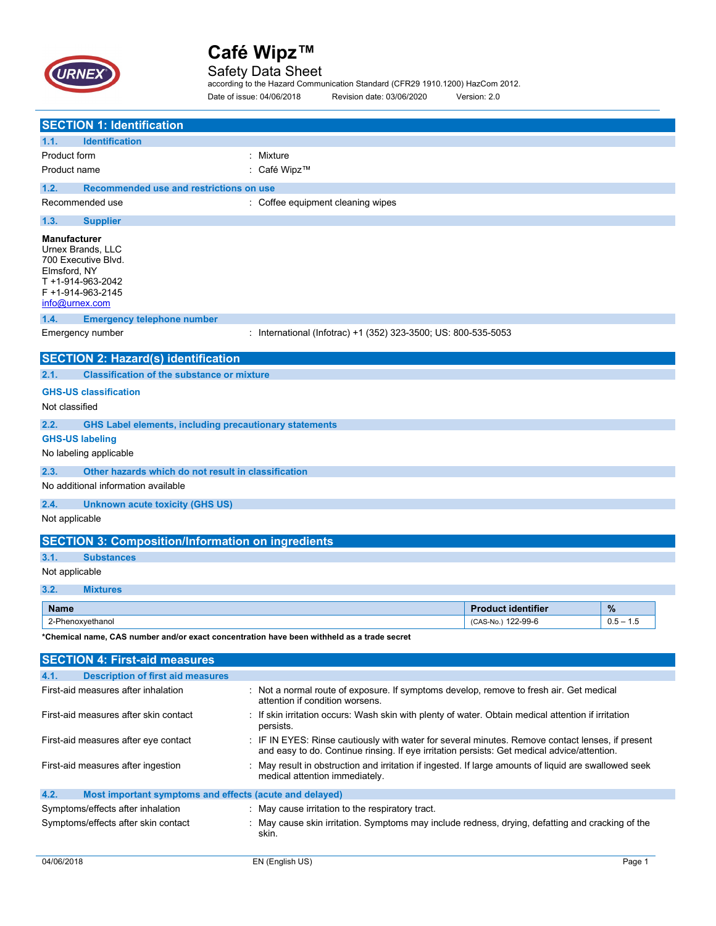

Safety Data Sheet according to the Hazard Communication Standard (CFR29 1910.1200) HazCom 2012. Date of issue: 04/06/2018 Revision date: 03/06/2020 Version: 2.0

|                                                                                                                                                                               | <b>SECTION 1: Identification</b>                                                                                                                                                                                                        |                                                                                                                            |                           |             |  |
|-------------------------------------------------------------------------------------------------------------------------------------------------------------------------------|-----------------------------------------------------------------------------------------------------------------------------------------------------------------------------------------------------------------------------------------|----------------------------------------------------------------------------------------------------------------------------|---------------------------|-------------|--|
| 1.1.                                                                                                                                                                          | <b>Identification</b>                                                                                                                                                                                                                   |                                                                                                                            |                           |             |  |
| Product form                                                                                                                                                                  |                                                                                                                                                                                                                                         | : Mixture                                                                                                                  |                           |             |  |
| Product name                                                                                                                                                                  |                                                                                                                                                                                                                                         | : Café Wipz™                                                                                                               |                           |             |  |
| 1.2.                                                                                                                                                                          | Recommended use and restrictions on use                                                                                                                                                                                                 |                                                                                                                            |                           |             |  |
|                                                                                                                                                                               | Recommended use                                                                                                                                                                                                                         | : Coffee equipment cleaning wipes                                                                                          |                           |             |  |
|                                                                                                                                                                               |                                                                                                                                                                                                                                         |                                                                                                                            |                           |             |  |
| 1.3.                                                                                                                                                                          | <b>Supplier</b>                                                                                                                                                                                                                         |                                                                                                                            |                           |             |  |
| <b>Manufacturer</b><br>Elmsford, NY<br>info@urnex.com                                                                                                                         | Urnex Brands, LLC<br>700 Executive Blvd.<br>T +1-914-963-2042<br>F +1-914-963-2145                                                                                                                                                      |                                                                                                                            |                           |             |  |
| 1.4.                                                                                                                                                                          | <b>Emergency telephone number</b>                                                                                                                                                                                                       |                                                                                                                            |                           |             |  |
|                                                                                                                                                                               | Emergency number                                                                                                                                                                                                                        | : International (Infotrac) +1 (352) 323-3500; US: 800-535-5053                                                             |                           |             |  |
|                                                                                                                                                                               | <b>SECTION 2: Hazard(s) identification</b>                                                                                                                                                                                              |                                                                                                                            |                           |             |  |
| 2.1.                                                                                                                                                                          | <b>Classification of the substance or mixture</b>                                                                                                                                                                                       |                                                                                                                            |                           |             |  |
|                                                                                                                                                                               | <b>GHS-US classification</b>                                                                                                                                                                                                            |                                                                                                                            |                           |             |  |
| Not classified                                                                                                                                                                |                                                                                                                                                                                                                                         |                                                                                                                            |                           |             |  |
|                                                                                                                                                                               |                                                                                                                                                                                                                                         |                                                                                                                            |                           |             |  |
| 2.2.                                                                                                                                                                          | <b>GHS Label elements, including precautionary statements</b>                                                                                                                                                                           |                                                                                                                            |                           |             |  |
| <b>GHS-US labeling</b>                                                                                                                                                        |                                                                                                                                                                                                                                         |                                                                                                                            |                           |             |  |
|                                                                                                                                                                               | No labeling applicable                                                                                                                                                                                                                  |                                                                                                                            |                           |             |  |
| 2.3.                                                                                                                                                                          | Other hazards which do not result in classification                                                                                                                                                                                     |                                                                                                                            |                           |             |  |
|                                                                                                                                                                               | No additional information available                                                                                                                                                                                                     |                                                                                                                            |                           |             |  |
| 2.4.                                                                                                                                                                          | <b>Unknown acute toxicity (GHS US)</b>                                                                                                                                                                                                  |                                                                                                                            |                           |             |  |
| Not applicable                                                                                                                                                                |                                                                                                                                                                                                                                         |                                                                                                                            |                           |             |  |
|                                                                                                                                                                               | <b>SECTION 3: Composition/Information on ingredients</b>                                                                                                                                                                                |                                                                                                                            |                           |             |  |
| 3.1.                                                                                                                                                                          | <b>Substances</b>                                                                                                                                                                                                                       |                                                                                                                            |                           |             |  |
| Not applicable                                                                                                                                                                |                                                                                                                                                                                                                                         |                                                                                                                            |                           |             |  |
| 3.2.                                                                                                                                                                          | <b>Mixtures</b>                                                                                                                                                                                                                         |                                                                                                                            |                           |             |  |
| <b>Name</b>                                                                                                                                                                   |                                                                                                                                                                                                                                         |                                                                                                                            | <b>Product identifier</b> | %           |  |
|                                                                                                                                                                               | 2-Phenoxyethanol                                                                                                                                                                                                                        |                                                                                                                            | (CAS-No.) 122-99-6        | $0.5 - 1.5$ |  |
|                                                                                                                                                                               | *Chemical name, CAS number and/or exact concentration have been withheld as a trade secret                                                                                                                                              |                                                                                                                            |                           |             |  |
|                                                                                                                                                                               |                                                                                                                                                                                                                                         |                                                                                                                            |                           |             |  |
|                                                                                                                                                                               | <b>SECTION 4: First-aid measures</b>                                                                                                                                                                                                    |                                                                                                                            |                           |             |  |
| 4.1.                                                                                                                                                                          | <b>Description of first aid measures</b>                                                                                                                                                                                                |                                                                                                                            |                           |             |  |
|                                                                                                                                                                               | First-aid measures after inhalation                                                                                                                                                                                                     | : Not a normal route of exposure. If symptoms develop, remove to fresh air. Get medical<br>attention if condition worsens. |                           |             |  |
| First-aid measures after skin contact<br>: If skin irritation occurs: Wash skin with plenty of water. Obtain medical attention if irritation<br>persists.                     |                                                                                                                                                                                                                                         |                                                                                                                            |                           |             |  |
|                                                                                                                                                                               | First-aid measures after eye contact<br>: IF IN EYES: Rinse cautiously with water for several minutes. Remove contact lenses, if present<br>and easy to do. Continue rinsing. If eye irritation persists: Get medical advice/attention. |                                                                                                                            |                           |             |  |
| : May result in obstruction and irritation if ingested. If large amounts of liquid are swallowed seek<br>First-aid measures after ingestion<br>medical attention immediately. |                                                                                                                                                                                                                                         |                                                                                                                            |                           |             |  |
|                                                                                                                                                                               |                                                                                                                                                                                                                                         |                                                                                                                            |                           |             |  |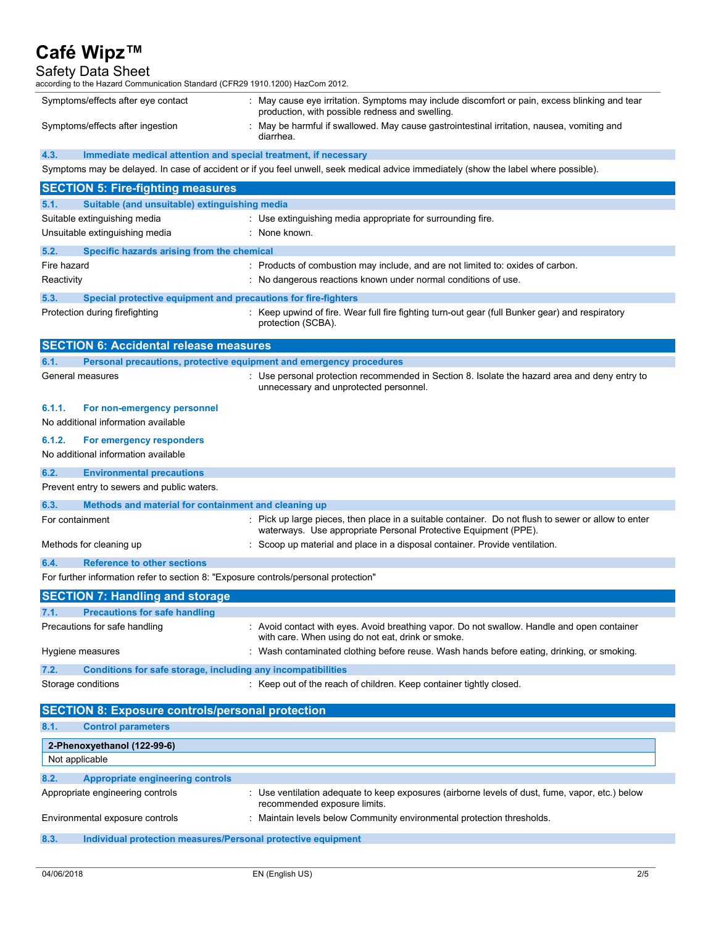Safety Data Sheet according to the Hazard Communication Standard (CFR29 1910.1200) HazCom 2012.

| Symptoms/effects after eye contact                                                                                                   |                                                                                     | : May cause eye irritation. Symptoms may include discomfort or pain, excess blinking and tear<br>production, with possible redness and swelling.                       |  |  |  |
|--------------------------------------------------------------------------------------------------------------------------------------|-------------------------------------------------------------------------------------|------------------------------------------------------------------------------------------------------------------------------------------------------------------------|--|--|--|
| Symptoms/effects after ingestion                                                                                                     |                                                                                     | : May be harmful if swallowed. May cause gastrointestinal irritation, nausea, vomiting and<br>diarrhea.                                                                |  |  |  |
| 4.3.                                                                                                                                 | Immediate medical attention and special treatment, if necessary                     |                                                                                                                                                                        |  |  |  |
| Symptoms may be delayed. In case of accident or if you feel unwell, seek medical advice immediately (show the label where possible). |                                                                                     |                                                                                                                                                                        |  |  |  |
|                                                                                                                                      | <b>SECTION 5: Fire-fighting measures</b>                                            |                                                                                                                                                                        |  |  |  |
| 5.1.                                                                                                                                 | Suitable (and unsuitable) extinguishing media                                       |                                                                                                                                                                        |  |  |  |
|                                                                                                                                      | Suitable extinguishing media                                                        | : Use extinguishing media appropriate for surrounding fire.                                                                                                            |  |  |  |
|                                                                                                                                      | Unsuitable extinguishing media                                                      | : None known.                                                                                                                                                          |  |  |  |
| 5.2.                                                                                                                                 | Specific hazards arising from the chemical                                          |                                                                                                                                                                        |  |  |  |
| Fire hazard                                                                                                                          |                                                                                     | : Products of combustion may include, and are not limited to: oxides of carbon.                                                                                        |  |  |  |
| Reactivity                                                                                                                           |                                                                                     | : No dangerous reactions known under normal conditions of use.                                                                                                         |  |  |  |
| 5.3.                                                                                                                                 | Special protective equipment and precautions for fire-fighters                      |                                                                                                                                                                        |  |  |  |
|                                                                                                                                      | Protection during firefighting                                                      | : Keep upwind of fire. Wear full fire fighting turn-out gear (full Bunker gear) and respiratory<br>protection (SCBA).                                                  |  |  |  |
|                                                                                                                                      | <b>SECTION 6: Accidental release measures</b>                                       |                                                                                                                                                                        |  |  |  |
| 6.1.                                                                                                                                 | Personal precautions, protective equipment and emergency procedures                 |                                                                                                                                                                        |  |  |  |
| General measures                                                                                                                     |                                                                                     | : Use personal protection recommended in Section 8. Isolate the hazard area and deny entry to<br>unnecessary and unprotected personnel.                                |  |  |  |
| 6.1.1.                                                                                                                               | For non-emergency personnel<br>No additional information available                  |                                                                                                                                                                        |  |  |  |
| 6.1.2.                                                                                                                               | For emergency responders                                                            |                                                                                                                                                                        |  |  |  |
|                                                                                                                                      | No additional information available                                                 |                                                                                                                                                                        |  |  |  |
| 6.2.                                                                                                                                 | <b>Environmental precautions</b>                                                    |                                                                                                                                                                        |  |  |  |
|                                                                                                                                      | Prevent entry to sewers and public waters.                                          |                                                                                                                                                                        |  |  |  |
| 6.3.                                                                                                                                 | Methods and material for containment and cleaning up                                |                                                                                                                                                                        |  |  |  |
| For containment                                                                                                                      |                                                                                     | : Pick up large pieces, then place in a suitable container. Do not flush to sewer or allow to enter<br>waterways. Use appropriate Personal Protective Equipment (PPE). |  |  |  |
| Methods for cleaning up                                                                                                              |                                                                                     | : Scoop up material and place in a disposal container. Provide ventilation.                                                                                            |  |  |  |
| 6.4.                                                                                                                                 | <b>Reference to other sections</b>                                                  |                                                                                                                                                                        |  |  |  |
|                                                                                                                                      | For further information refer to section 8: "Exposure controls/personal protection" |                                                                                                                                                                        |  |  |  |
|                                                                                                                                      | <b>SECTION 7: Handling and storage</b>                                              |                                                                                                                                                                        |  |  |  |
| 7.1.                                                                                                                                 | <b>Precautions for safe handling</b>                                                |                                                                                                                                                                        |  |  |  |
|                                                                                                                                      | Precautions for safe handling                                                       | : Avoid contact with eyes. Avoid breathing vapor. Do not swallow. Handle and open container<br>with care. When using do not eat, drink or smoke.                       |  |  |  |
| Hygiene measures                                                                                                                     |                                                                                     | : Wash contaminated clothing before reuse. Wash hands before eating, drinking, or smoking.                                                                             |  |  |  |
| 7.2.                                                                                                                                 | Conditions for safe storage, including any incompatibilities                        |                                                                                                                                                                        |  |  |  |
| Storage conditions                                                                                                                   |                                                                                     | : Keep out of the reach of children. Keep container tightly closed.                                                                                                    |  |  |  |
| <b>SECTION 8: Exposure controls/personal protection</b>                                                                              |                                                                                     |                                                                                                                                                                        |  |  |  |
| 8.1.                                                                                                                                 | <b>Control parameters</b>                                                           |                                                                                                                                                                        |  |  |  |
|                                                                                                                                      | 2-Phenoxyethanol (122-99-6)                                                         |                                                                                                                                                                        |  |  |  |
| Not applicable                                                                                                                       |                                                                                     |                                                                                                                                                                        |  |  |  |
| 8.2.                                                                                                                                 | <b>Appropriate engineering controls</b>                                             |                                                                                                                                                                        |  |  |  |
| Appropriate engineering controls                                                                                                     |                                                                                     | : Use ventilation adequate to keep exposures (airborne levels of dust, fume, vapor, etc.) below<br>recommended exposure limits.                                        |  |  |  |
|                                                                                                                                      | Environmental exposure controls                                                     | : Maintain levels below Community environmental protection thresholds.                                                                                                 |  |  |  |
| 8.3.                                                                                                                                 | Individual protection measures/Personal protective equipment                        |                                                                                                                                                                        |  |  |  |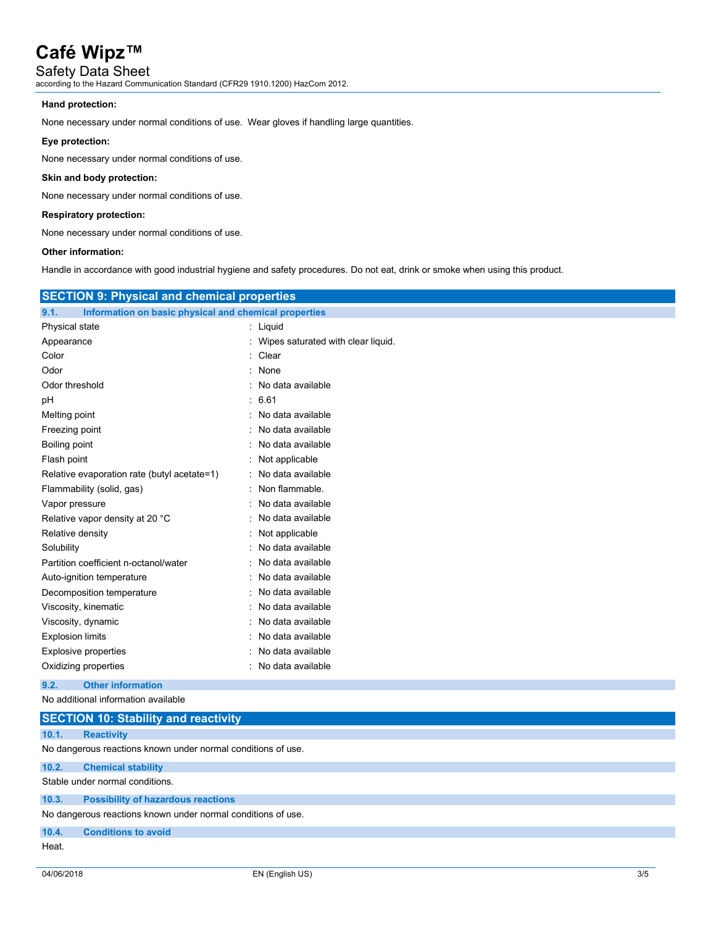Safety Data Sheet according to the Hazard Communication Standard (CFR29 1910.1200) HazCom 2012.

## **Hand protection:**

None necessary under normal conditions of use. Wear gloves if handling large quantities.

## **Eye protection:**

None necessary under normal conditions of use.

## **Skin and body protection:**

None necessary under normal conditions of use.

## **Respiratory protection:**

None necessary under normal conditions of use.

## **Other information:**

Handle in accordance with good industrial hygiene and safety procedures. Do not eat, drink or smoke when using this product.

| <b>SECTION 9: Physical and chemical properties</b>            |                                      |  |  |  |  |
|---------------------------------------------------------------|--------------------------------------|--|--|--|--|
| 9.1.<br>Information on basic physical and chemical properties |                                      |  |  |  |  |
| Physical state                                                | : Liquid                             |  |  |  |  |
| Appearance                                                    | : Wipes saturated with clear liquid. |  |  |  |  |
| Color                                                         | Clear                                |  |  |  |  |
| Odor                                                          | None                                 |  |  |  |  |
| Odor threshold                                                | No data available                    |  |  |  |  |
| рH                                                            | : 6.61                               |  |  |  |  |
| Melting point                                                 | No data available                    |  |  |  |  |
| Freezing point                                                | No data available                    |  |  |  |  |
| Boiling point                                                 | No data available                    |  |  |  |  |
| Flash point                                                   | Not applicable                       |  |  |  |  |
| Relative evaporation rate (butyl acetate=1)                   | No data available                    |  |  |  |  |
| Flammability (solid, gas)                                     | Non flammable.                       |  |  |  |  |
| Vapor pressure                                                | No data available                    |  |  |  |  |
| Relative vapor density at 20 °C                               | No data available                    |  |  |  |  |
| Relative density                                              | Not applicable                       |  |  |  |  |
| Solubility                                                    | No data available                    |  |  |  |  |
| Partition coefficient n-octanol/water                         | No data available                    |  |  |  |  |
| Auto-ignition temperature                                     | No data available                    |  |  |  |  |
| Decomposition temperature                                     | No data available                    |  |  |  |  |
| Viscosity, kinematic                                          | No data available                    |  |  |  |  |
| Viscosity, dynamic                                            | No data available                    |  |  |  |  |
| <b>Explosion limits</b>                                       | No data available                    |  |  |  |  |
| Explosive properties                                          | No data available                    |  |  |  |  |
| Oxidizing properties                                          | No data available                    |  |  |  |  |
| <b>Other information</b><br>9.2.                              |                                      |  |  |  |  |
| No additional information available                           |                                      |  |  |  |  |
| <b>SECTION 10: Stability and reactivity</b>                   |                                      |  |  |  |  |
| 10.1.<br><b>Reactivity</b>                                    |                                      |  |  |  |  |
| No dangerous reactions known under normal conditions of use.  |                                      |  |  |  |  |
| 10.2.<br><b>Chemical stability</b>                            |                                      |  |  |  |  |
| Stable under normal conditions.                               |                                      |  |  |  |  |
| <b>Possibility of hazardous reactions</b><br>10.3.            |                                      |  |  |  |  |
|                                                               |                                      |  |  |  |  |

No dangerous reactions known under normal conditions of use.

**10.4. Conditions to avoid** Heat.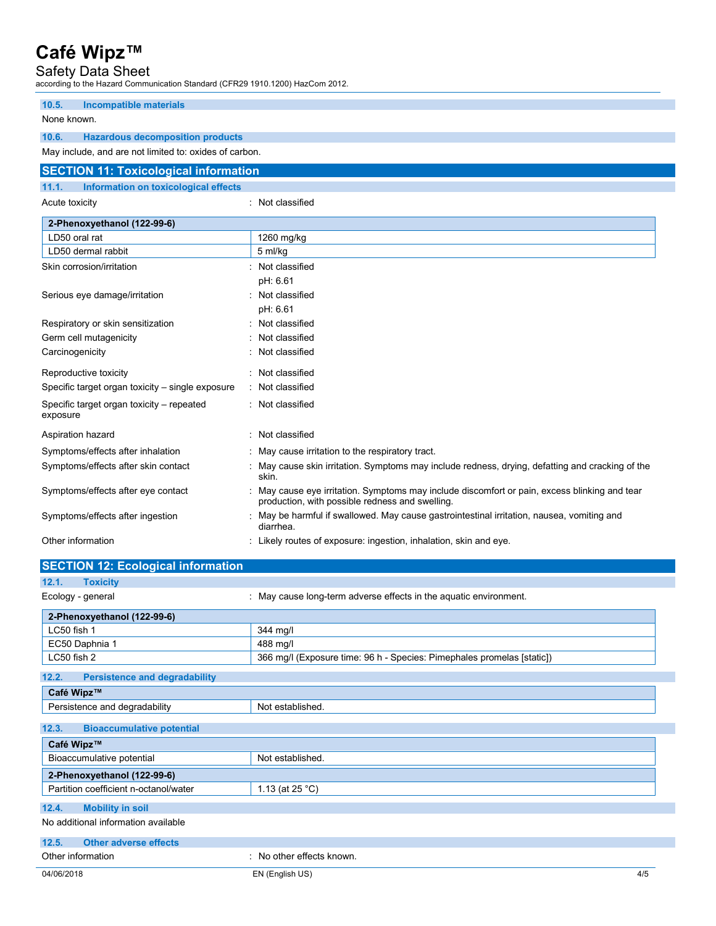Safety Data Sheet according to the Hazard Communication Standard (CFR29 1910.1200) HazCom 2012.

| 10.5.<br><b>Incompatible materials</b>                 |                                                                                                                                                  |
|--------------------------------------------------------|--------------------------------------------------------------------------------------------------------------------------------------------------|
| None known.                                            |                                                                                                                                                  |
| 10.6.<br><b>Hazardous decomposition products</b>       |                                                                                                                                                  |
| May include, and are not limited to: oxides of carbon. |                                                                                                                                                  |
| <b>SECTION 11: Toxicological information</b>           |                                                                                                                                                  |
| Information on toxicological effects<br>11.1.          |                                                                                                                                                  |
| Acute toxicity                                         | : Not classified                                                                                                                                 |
| 2-Phenoxyethanol (122-99-6)                            |                                                                                                                                                  |
| LD50 oral rat                                          | 1260 mg/kg                                                                                                                                       |
| LD50 dermal rabbit                                     | 5 ml/kg                                                                                                                                          |
| Skin corrosion/irritation                              | : Not classified                                                                                                                                 |
|                                                        | pH: 6.61                                                                                                                                         |
| Serious eye damage/irritation                          | : Not classified                                                                                                                                 |
|                                                        | pH: 6.61                                                                                                                                         |
| Respiratory or skin sensitization                      | Not classified                                                                                                                                   |
| Germ cell mutagenicity                                 | Not classified                                                                                                                                   |
| Carcinogenicity                                        | Not classified                                                                                                                                   |
| Reproductive toxicity                                  | Not classified                                                                                                                                   |
| Specific target organ toxicity - single exposure       | : Not classified                                                                                                                                 |
| Specific target organ toxicity - repeated<br>exposure  | : Not classified                                                                                                                                 |
| Aspiration hazard                                      | : Not classified                                                                                                                                 |
| Symptoms/effects after inhalation                      | May cause irritation to the respiratory tract.                                                                                                   |
| Symptoms/effects after skin contact                    | : May cause skin irritation. Symptoms may include redness, drying, defatting and cracking of the<br>skin.                                        |
| Symptoms/effects after eye contact                     | : May cause eye irritation. Symptoms may include discomfort or pain, excess blinking and tear<br>production, with possible redness and swelling. |
| Symptoms/effects after ingestion                       | May be harmful if swallowed. May cause gastrointestinal irritation, nausea, vomiting and<br>diarrhea.                                            |
| Other information                                      | Likely routes of exposure: ingestion, inhalation, skin and eye.                                                                                  |
| <b>SECTION 12: Ecological information</b>              |                                                                                                                                                  |
| 12.1.<br><b>Toxicity</b>                               |                                                                                                                                                  |
| Ecology - general                                      | : May cause long-term adverse effects in the aquatic environment.                                                                                |
| 2-Phenoxyethanol (122-99-6)                            |                                                                                                                                                  |
| LC50 fish 1                                            | 344 mg/l                                                                                                                                         |
| EC50 Daphnia 1                                         | 488 mg/l                                                                                                                                         |
| LC50 fish 2                                            | 366 mg/l (Exposure time: 96 h - Species: Pimephales promelas [static])                                                                           |
| <b>Persistence and degradability</b><br>12.2.          |                                                                                                                                                  |
| Café Wipz™                                             |                                                                                                                                                  |
| Persistence and degradability                          | Not established.                                                                                                                                 |

| Persistence and degradability             | Not established.          |  |  |  |
|-------------------------------------------|---------------------------|--|--|--|
|                                           |                           |  |  |  |
| 12.3.<br><b>Bioaccumulative potential</b> |                           |  |  |  |
| Café Wipz™                                |                           |  |  |  |
| Bioaccumulative potential                 | Not established.          |  |  |  |
| 2-Phenoxyethanol (122-99-6)               |                           |  |  |  |
| Partition coefficient n-octanol/water     | 1.13 (at $25 °C$ )        |  |  |  |
| 12.4.<br><b>Mobility in soil</b>          |                           |  |  |  |
| No additional information available       |                           |  |  |  |
| 12.5.<br><b>Other adverse effects</b>     |                           |  |  |  |
| Other information                         | : No other effects known. |  |  |  |
| 04/06/2018                                | EN (English US)<br>4/5    |  |  |  |